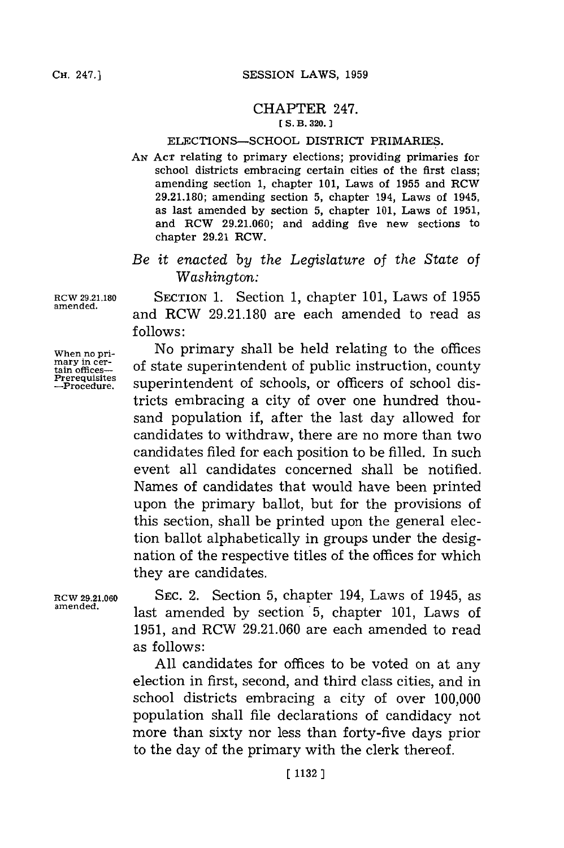### CHAPTER 247. **[ S. B. 320.**

#### ELECTIONS-SCHOOL DISTRICT PRIMARIES.

**AN ACT** relating to primary elections; providing primaries for school districts embracing certain cities of the first class; amending section **1,** chapter **101,** Laws of **1955** and RCW **29.21.180;** amending section **5,** chapter 194, Laws of 1945, as last amended **by** section **5,** chapter **101,** Laws of **1951,** and RCW **29.21.060;** and adding five new sections to chapter **29.21** RCW.

*Be it enacted by the Legislature* of *the State of Washington:*

**RCW 29.21.180 SECTION 1.** Section **1,** chapter 101, Laws of **1955** and RCW 29.21.180 are each amended to read as **follows:**

**When no pri-** No primary shall be held relating to the offices mary in cer-<br>tain offices- of state superintendent of public instruction, county<br>Prerequisites superintendent of sebecls on officers of school disrerequisites superintendent of schools, or officers of school districts embracing a city of over one hundred thousand population if, after the last day allowed for candidates to withdraw, there are no more than two candidates filed for each position to be filled. In such event all candidates concerned shall be notified. Names of candidates that would have been printed upon the primary ballot, but for the provisions of this section, shall be printed upon the general election ballot alphabetically in groups under the designation of the respective titles of the offices for which they are candidates.

**RCW 29.21.060 SEC.** 2. Section **5,** chapter 194, Laws of 1945, as **amended,** last amended **by** section **5,** chapter **101,** Laws of **1951,** and RCW **29.21.060** are each amended to read as follows:

> **All** candidates for offices to be voted on at any election in first, second, and third class cities, and in school districts embracing a city of over **100,000** population shall file declarations of candidacy not more than sixty nor less than forty-five days prior to the day of the primary with the clerk thereof.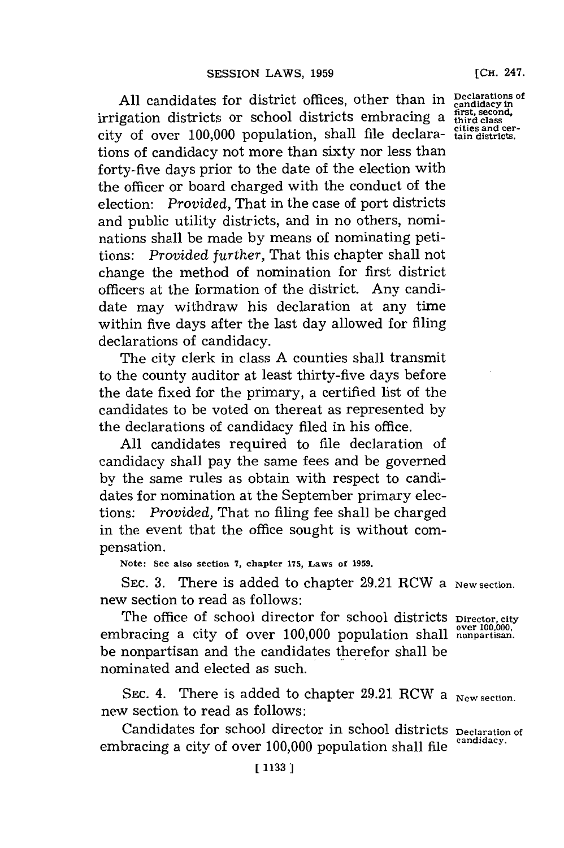All candidates for district offices, other than in Declarations of irrigation districts or school districts embracing a  $\frac{\text{first, second}}{\text{third class}}$ . **ciisand cer-** city of over **100,000** population, shall file declara- **tam ndistricts.** tions of candidacy not more than sixty nor less than forty-five days prior to the date of the election with the officer or board charged with the conduct of the election: *Provided,* That in the case of port districts and public utility districts, and in no others, nominations shall be made **by** means of nominating petitions: *Provided further,* That this chapter shall not change the method of nomination for first district officers at the formation of the district. Any candidate may withdraw his declaration at any time within five days after the last day allowed for filing declarations of candidacy.

The city clerk in class **A** counties shall transmit to the county auditor at least thirty-five days before the date fixed for the primary, a certified list of the candidates to be voted on thereat as represented **by** the declarations of candidacy filed in his office.

**All** candidates required to file declaration of candidacy shall pay the same fees and be governed **by** the same rules as obtain with respect to candidates for nomination at the September primary elections: *Provided,* That no filing fee shall be charged in the event that the office sought is without compensation.

**Note: See also section 7, chapter 175, Laws of 1959.**

SEC. 3. There is added to chapter 29.21 RCW a New section. new section to read as follows:

The office of school director for school districts pirector, city<br>embracing a city of over 100,000 population shall **nonpartisan**. be nonpartisan and the candidates therefor shall be nominated and elected as such.

SEC. 4. There is added to chapter 29.21 RCW a New section. new section to read as follows:

Candidates for school director in school districts **Declaration of** embracing a city of over **100,000** population shall file **candidacy.**

**[CH.** 247.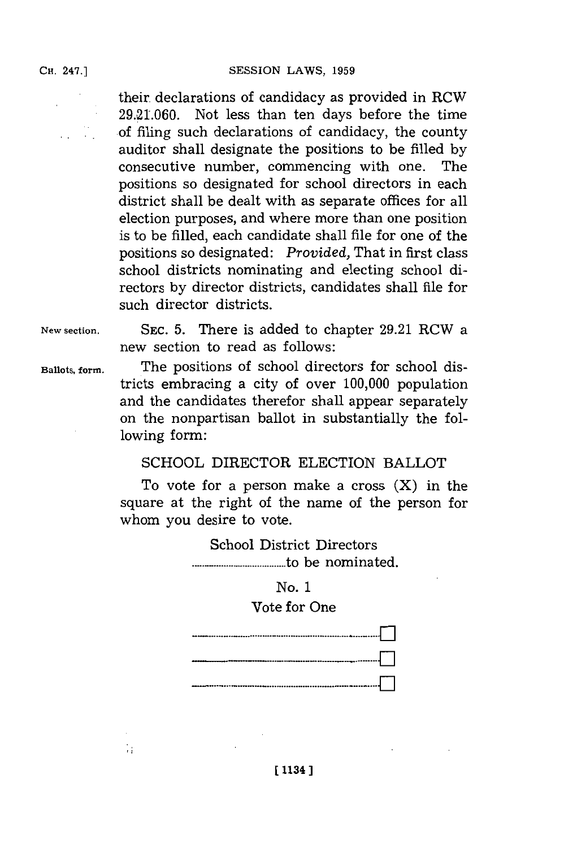**SESSION LAWS, 1959** 

their. declarations of candidacy as provided in RCW **29.21.060.** Not less than ten days before the time **of** filing such declarations of candidacy, the county auditor shall designate the positions to be filled **by** consecutive number, commencing with one. The positions so designated for school directors in each district shall be dealt with as separate offices for all election purposes, and where more than one position is to be filled, each candidate shall file for one of the positions so designated: *Provided,* That in first class school districts nominating and electing school directors **by** director districts, candidates shall file for such director districts.

**New section. SEC. 5.** There is added to chapter **29.21** RCW a new section to read as follows:

Ŵ

**Ballots, form.** The positions of school directors for school districts embracing a city of over **100,000** population and the candidates therefor shall appear separately on the nonpartisan ballot in substantially the following form:

## **SCHOOL** DIRECTOR ELECTION BALLOT

To vote for a person make a cross  $(X)$  in the square at the right of the name of the person for whom you desire to vote.

> School District Directors .... **..........................** to be nominated.

# No. **1**

## Vote for One



**[ 1134]1**